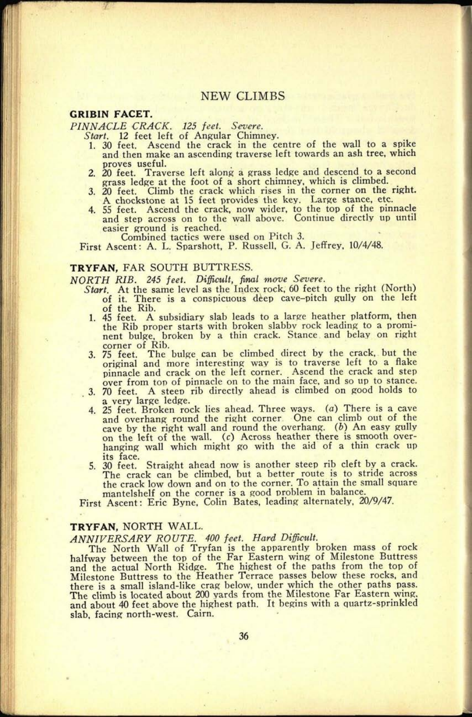## NEW CLIMBS

#### **GRIBIN FACET.**

*PINNACLE CRACK. 125 feet. Severe.* 

*Start.* 12 feet left of Angular Chimney.

- 1. 30 feet. Ascend the crack in the centre of the wall to a spike and then make an ascending traverse left towards an ash tree, which proves useful.<br>2. 20 feet. Trave
- Traverse left along a grass ledge and descend to a second grass ledge at the foot of a short chimney, which is climbed.<br>3. 20 feet. Climb the crack which rises in the corner on the right.
- A chockstone at 15 feet provides the key. Large stance, etc.
- 4. 55 feet. Ascend the crack, now wider, to the top of the pinnacle and step across on to the wall above. Continue directly up until easier ground is reached.
	- Combined tactics were used on Pitch 3.

First Ascent: A. L. Sparshott, P. Russell, G. A. Jeffrey, 10/4/48.

#### **TRYFAN,** FAR SOUTH BUTTRESS.

*NORTH RIB. 245 feet. Difficult, final* mow *Severe.*

- *Start.* At the same level as the Index rock, 60 feet to the right (North) of it. There is a conspicuous deep cave-pitch gully on the left of the Rib.
- 1. 45 feet. A subsidiary slab leads to a large heather platform, then the Rib proper starts with broken slabbv rock leading to a prominent bulge, broken by a thin crack. Stance and belay on right

i

- corner of Rib. 3. 75 feet. The bulge can be climbed direct by the crack, but the 3. 75 feet. The bulge can be climbed direct by the crack, but the original and more interesting way is to traverse left to a flake <sup>p</sup>innacle and crack on the left corner. Ascend the crack and step over from ton of pinnacle on to the main face, and so up to stance.
- 3. 70 feet. A steep rib directly ahead is climbed on good holds to
- <sup>a</sup>very large ledge. 4. 25 feet. Broken rock lies ahead. Three ways, (a) There is a cave and overhang round the right corner One can climb out of the cave by the right wall and round the overhang.  $(b)$  An easy gully on the left of the wall, *(c)* Across heather there is smooth overhanging wall which might go with the aid of a thin crack up its face.
- 5. 30 feet. Straight ahead now is another steep rib cleft by a crack. The crack can be climbed, but a better route is to stride across the crack low down and on to the corner. To attain the small square mantelshelf on the corner is a good problem in balance.

First Ascent: Eric Byne, Colin Bates, leading alternately, 20/9/47.

## **TRYFAN,** NORTH WALL.

#### *ANNIVERSARY ROUTE. 400 f~eet. Hard Difficult.*

The North Wall of Tryfan is the apparently broken mass of rock halfway between the top of the Far Eastern wing of Milestone Buttress and the actual North Ridge. The highest of the paths from the top of Milestone Buttress to the Heather Terrace passes below these rocks, and there is a small island-like crag below, under which the other paths pass. The climb is located about 200 yards from the Milestone Far Eastern wing, and about 40 feet above the highest path. It begins with a quartz-sprinkled slab, facing north-west. Cairn.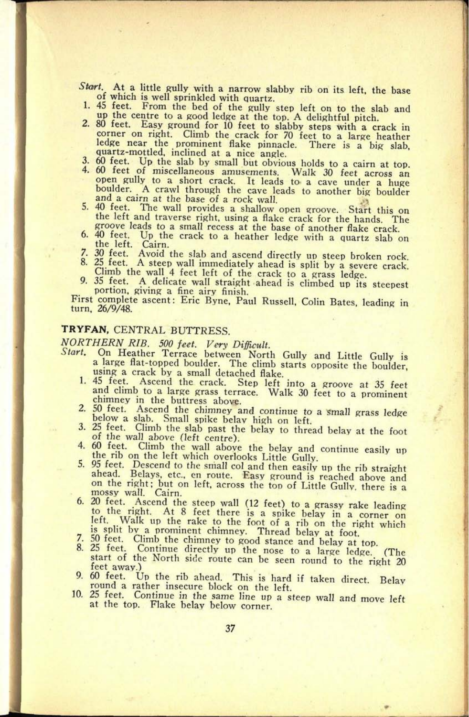- *Start.* At a little gully with a narrow slabby rib on its left, the base of which is well sprinkled with quartz. 1. 45 feet. From the bed of the gully step left on to the slab and up the centre to a good ledge at the top.
- 2. 80 feet. Easy ground for 10 feet to slabby steps with a crack in corner on right. Climb the crack for 70 feet to a large heather ledge near the prominent flake pinnacle. There is a big slab, quartz-mottled, inclined at a nice angle.<br>3. 60 feet. Up the slab by small but obvious holds to
- 
- 3. 60 feet. Up the slab by small but obvious holds to a cairn at top. 4. 60 feet of miscellaneous amusements. Walk 30 feet across an open gully to a short crack. It leads to a cave under a huge<br>boulder. A crawl through the cave leads to another big boulder<br>and a cairn at the base of a rock wall.<br>5. 40 feet. The wall provides a shallow open groove. Start
- the left and traverse right, using a flake crack for the hands. The groove leads to a small recess at the base of another flake crack.<br>6. 40 feet. Up the crack to a heather ledge with a quartz slab on the left. Cairn.
- 
- 7. 30 feet. Avoid the slab and ascend directly up steep broken rock.<br>8. 25 feet. A steep wall immediately ahead is split by a severe crack.<br>Climb the wall 4 feet left of the crack to a grass ledge.<br>9. 35 feet. A delicate w
- 
- 

First complete ascent: Eric Byne, Paul Russell, Colin Bates, leading in turn, 26/9/48.

# **TRYFAN,** CENTRAL BUTTRESS.

**51. 0138**

*NORTHERN RIB. 500 fe-et. Very Difficult.*

- *Start.* On Heather Terrace between North Gully and Little Gully is a large flat-topped boulder. The climb starts opposite the boulder, using a crack by a small detached flake.
	- 1. 45 feet. Ascend the crack. Step left into a groove at 35 feet and climb to a large grass terrace. Walk 30 feet to a prominent chimney in the buttress above.
	- 2. 50 feet. Ascend the chimney and continue to a small grass ledge<br>below a slab. Small spike belav high on left.<br>3. 25 feet. Climb the slab past the belay to thread belay at the foot<br>of the wall above (left centre).<br>4. 60
	-
	-
	- the rib on the left which overlooks Little Gully.<br>5. 95 feet. Descend to the small col and then easily up the rib straight<br>ahead. Belays, etc., en route. Easy ground is reached above and on the right; but on left, across the top of Little Gully, there is a mossy wall. Cairn.
	- 6. 20 feet. Ascend the steep wall (12 feet) to a grassy rake leading<br>to the right. At 8 feet there is a spike belay in a corner on<br>left. Walk up the rake to the foot of a rib on the right which<br>is split by a prominent chi
	-
	-
	-
	- From a rather insecure block on the left.<br>10. 25 feet. Continue in the same line up a steep wall and move left<br>at the top. Flake belay below corner.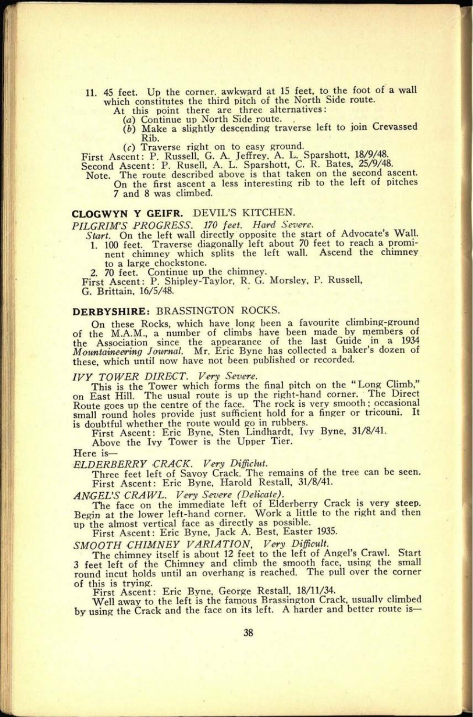- 11. 45 feet. Up the corner, awkward at IS feet, to the foot of a wall which constitutes the third pitch of the North Side route.
	- -
	- At this point there are three alternatives: *(a)* Continue up North Side route. *(b)* Make a slightly descending traverse left to join Crevassed Rib.

(c) Traverse right on to easy ground.

First Ascent: P. Russell, G. A. Jeffrey. A. L. Sparshott, 18/9/48. Second Ascent: P. Rusell, A. L. Sparshott, C. R. Bates, 25/9/48.

Note. The route described above is that taken on the second ascent. On the first ascent a less interesting rib to the left of pitches 7 and 8 was climbed.

## **CLOGWYN Y GEIFR.** DEVIL'S KITCHEN.

- *PILGRIM'S PROGRESS. 170 feet. Hard Severe. Start.* On the left wall directly opposite the start of Advocate's Wall.
	- 1. 100 feet. Traverse diagonally left about 70 feet to reach a prominent chimney which splits the left wall. Ascend the chimney to a large chockstone. 2. 70 feet. Continue up the chimney. First Ascent: P. Shipley-Taylor, R. G. Morsley, P. Russell, G. Brittain, 16/5/48.

## **DERBYSHIRE: BRASSINGTON ROCKS.**

On these Rocks, which have long been a favourite climbing-ground<br>of the M.A.M., a number of climbs have been made by members of<br>the Association since the appearance of the last Guide in a 1934<br>Mountaineering Journal. Mr. E these, which until now have not been published or recorded.

### *IVY TOWER DIRECT. Very Severe.*

This is the Tower which forms the final pitch on the "Long Climb," on East Hill. The usual route is up the right-hand corner. The Direct Route goes up the centre of the face. The rock is very smooth; occasional small round holes provide just sufficient hold for a finger or tricouni. It is doubtful whether the route would go in rubbers.

First Ascent: Eric Byne, Sten Lindhardt, Ivy Byne, 31/8/41.

Above the Ivy Tower is the Upper Tier.

#### Here is

*ELDERBERRY -CRACK. Very Diffidut.*

Three feet left of Savoy Crack. The remains of the tree can be seen. First Ascent: Eric Byne, Harold Restall, 31/8/41.

*ANGEL'S CRAWL. Very Sever\* (Delicate).*

The face on the immediate left of Elderberry Crack is very steep. Begin at the lower left-hand corner. Work a little to the right and then up the almost vertical face as directly as possible. First Ascent: Eric Byne, Jack A. Best, Easter 1935.

*SMOOTH CHIMNEY VARIATION, Very Difficult.* The chimney itself is about 12 feet to the left of Angel's Crawl. S'tart 3 feet left of the Chimney and climb the smooth face, using the small round incut holds until an overhang is reached. The pull over the corner of this is trying.

First Ascent: Eric Byne, George Restall, 18/11/34.

Well away to the left is the famous Brassington Crack, usually climbed by using the Crack and the face on its left. A harder and better route is